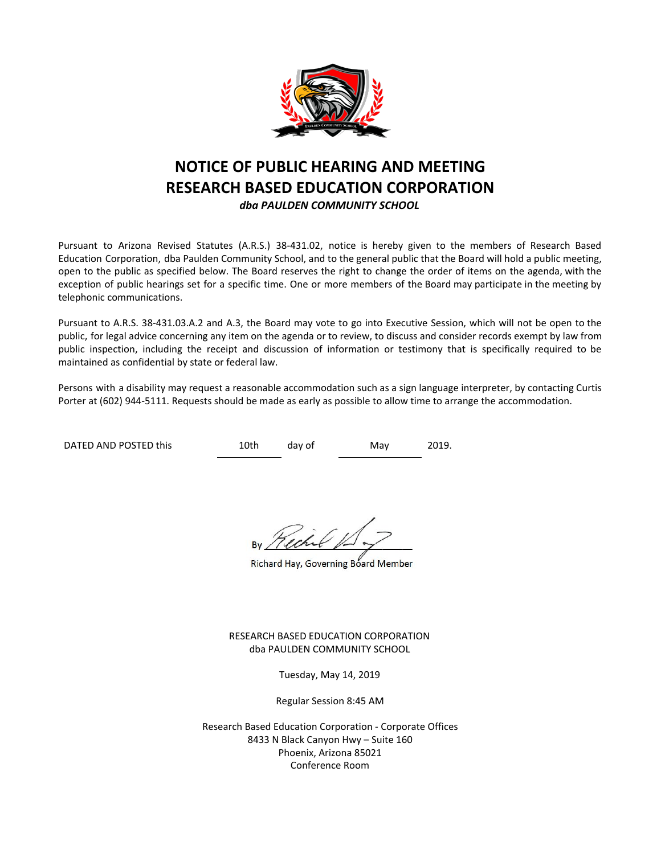

# **NOTICE OF PUBLIC HEARING AND MEETING RESEARCH BASED EDUCATION CORPORATION** *dba PAULDEN COMMUNITY SCHOOL*

Pursuant to Arizona Revised Statutes (A.R.S.) 38-431.02, notice is hereby given to the members of Research Based Education Corporation, dba Paulden Community School, and to the general public that the Board will hold a public meeting, open to the public as specified below. The Board reserves the right to change the order of items on the agenda, with the exception of public hearings set for a specific time. One or more members of the Board may participate in the meeting by telephonic communications.

Pursuant to A.R.S. 38-431.03.A.2 and A.3, the Board may vote to go into Executive Session, which will not be open to the public, for legal advice concerning any item on the agenda or to review, to discuss and consider records exempt by law from public inspection, including the receipt and discussion of information or testimony that is specifically required to be maintained as confidential by state or federal law.

Persons with a disability may request a reasonable accommodation such as a sign language interpreter, by contacting Curtis Porter at (602) 944-5111. Requests should be made as early as possible to allow time to arrange the accommodation.

DATED AND POSTED this  $10th$  day of May 2019.

Richard Hay, Governing Board Member

RESEARCH BASED EDUCATION CORPORATION dba PAULDEN COMMUNITY SCHOOL

Tuesday, May 14, 2019

Regular Session 8:45 AM

Research Based Education Corporation - Corporate Offices 8433 N Black Canyon Hwy – Suite 160 Phoenix, Arizona 85021 Conference Room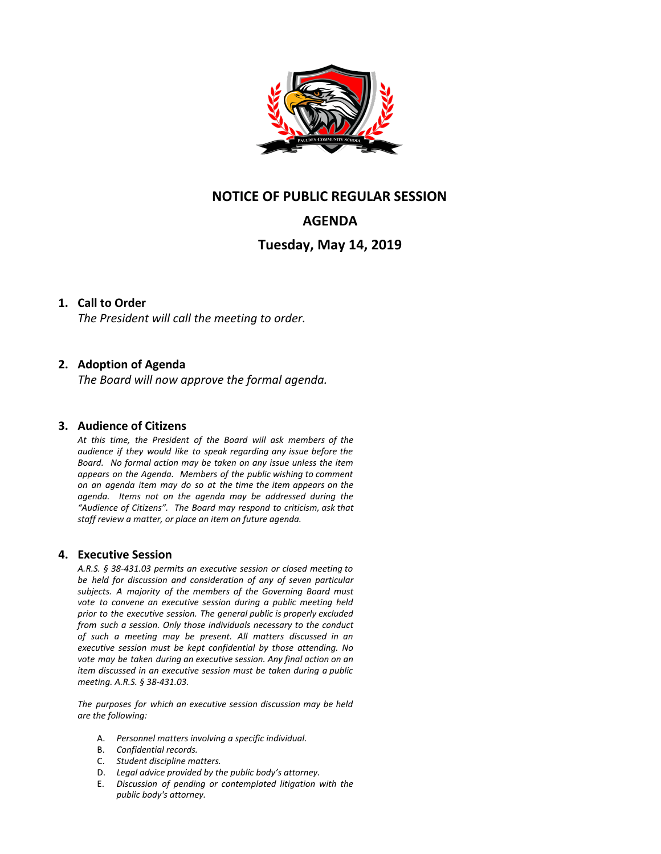

## **NOTICE OF PUBLIC REGULAR SESSION**

# **AGENDA**

## **Tuesday, May 14, 2019**

### **1. Call to Order**

*The President will call the meeting to order.*

### **2. Adoption of Agenda**

*The Board will now approve the formal agenda.*

#### **3. Audience of Citizens**

*At this time, the President of the Board will ask members of the audience if they would like to speak regarding any issue before the Board. No formal action may be taken on any issue unless the item appears on the Agenda. Members of the public wishing to comment on an agenda item may do so at the time the item appears on the agenda. Items not on the agenda may be addressed during the "Audience of Citizens". The Board may respond to criticism, ask that staff review a matter, or place an item on future agenda.*

#### **4. Executive Session**

*A.R.S. § 38-431.03 permits an executive session or closed meeting to be held for discussion and consideration of any of seven particular subjects. A majority of the members of the Governing Board must vote to convene an executive session during a public meeting held prior to the executive session. The general public is properly excluded from such a session. Only those individuals necessary to the conduct of such a meeting may be present. All matters discussed in an executive session must be kept confidential by those attending. No vote may be taken during an executive session. Any final action on an item discussed in an executive session must be taken during a public meeting. A.R.S. § 38-431.03.*

*The purposes for which an executive session discussion may be held are the following:*

- A. *Personnel matters involving a specific individual.*
- B. *Confidential records.*
- C. *Student discipline matters.*
- D. *Legal advice provided by the public body's attorney.*
- E. *Discussion of pending or contemplated litigation with the public body's attorney.*